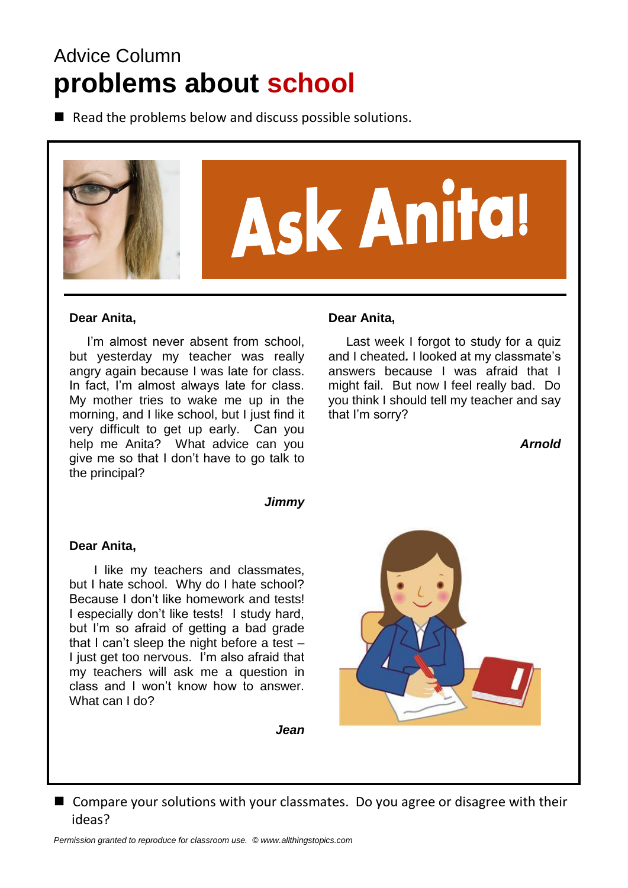# Advice Column **problems about school**

 $\blacksquare$  Read the problems below and discuss possible solutions.



#### **Dear Anita,**

I'm almost never absent from school. but yesterday my teacher was really angry again because I was late for class. In fact, I'm almost always late for class. My mother tries to wake me up in the morning, and I like school, but I just find it very difficult to get up early. Can you help me Anita? What advice can you give me so that I don't have to go talk to the principal?

#### **Dear Anita,**

 Last week I forgot to study for a quiz and I cheated*.* I looked at my classmate's answers because I was afraid that I might fail. But now I feel really bad. Do you think I should tell my teacher and say that I'm sorry?

*Arnold*

#### *Jimmy*

#### **Dear Anita,**

 I like my teachers and classmates, but I hate school. Why do I hate school? Because I don't like homework and tests! I especially don't like tests! I study hard, but I'm so afraid of getting a bad grade that I can't sleep the night before a test – I just get too nervous. I'm also afraid that my teachers will ask me a question in class and I won't know how to answer. What can I do?

*Jean*

■ Compare your solutions with your classmates. Do you agree or disagree with their ideas?